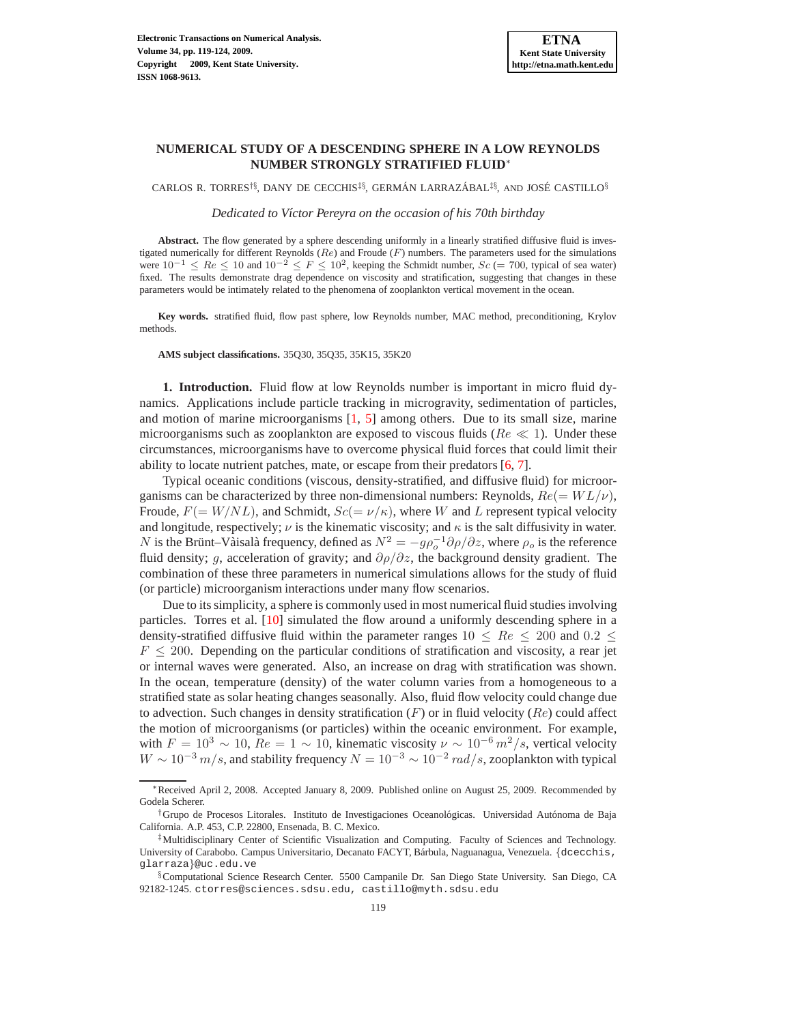# **NUMERICAL STUDY OF A DESCENDING SPHERE IN A LOW REYNOLDS NUMBER STRONGLY STRATIFIED FLUID**<sup>∗</sup>

CARLOS R. TORRES<sup>†§</sup>, DANY DE CECCHIS<sup>‡§</sup>, GERMÁN LARRAZÁBAL<sup>‡§</sup>, AND JOSÉ CASTILLO<sup>§</sup>

*Dedicated to V´ıctor Pereyra on the occasion of his 70th birthday*

**Abstract.** The flow generated by a sphere descending uniformly in a linearly stratified diffusive fluid is investigated numerically for different Reynolds ( $Re$ ) and Froude ( $F$ ) numbers. The parameters used for the simulations were  $10^{-1} \leq Re \leq 10$  and  $10^{-2} \leq F \leq 10^2$ , keeping the Schmidt number,  $Sc = 700$ , typical of sea water) fixed. The results demonstrate drag dependence on viscosity and stratification, suggesting that changes in these parameters would be intimately related to the phenomena of zooplankton vertical movement in the ocean.

**Key words.** stratified fluid, flow past sphere, low Reynolds number, MAC method, preconditioning, Krylov methods.

**AMS subject classifications.** 35Q30, 35Q35, 35K15, 35K20

**1. Introduction.** Fluid flow at low Reynolds number is important in micro fluid dynamics. Applications include particle tracking in microgravity, sedimentation of particles, and motion of marine microorganisms [\[1](#page-5-0), [5\]](#page-5-1) among others. Due to its small size, marine microorganisms such as zooplankton are exposed to viscous fluids ( $Re \ll 1$ ). Under these circumstances, microorganisms have to overcome physical fluid forces that could limit their ability to locate nutrient patches, mate, or escape from their predators [\[6](#page-5-2), [7](#page-5-3)].

Typical oceanic conditions (viscous, density-stratified, and diffusive fluid) for microorganisms can be characterized by three non-dimensional numbers: Reynolds,  $Re (= WL/\nu)$ , Froude,  $F(= W/NL)$ , and Schmidt,  $Sc(= \nu/\kappa)$ , where W and L represent typical velocity and longitude, respectively;  $\nu$  is the kinematic viscosity; and  $\kappa$  is the salt diffusivity in water. N is the Brünt–Vaisala frequency, defined as  $N^2 = -g\rho_o^{-1}\partial\rho/\partial z$ , where  $\rho_o$  is the reference fluid density; g, acceleration of gravity; and  $\partial \rho / \partial z$ , the background density gradient. The combination of these three parameters in numerical simulations allows for the study of fluid (or particle) microorganism interactions under many flow scenarios.

Due to its simplicity, a sphere is commonly used in most numerical fluid studies involving particles. Torres et al. [\[10\]](#page-5-4) simulated the flow around a uniformly descending sphere in a density-stratified diffusive fluid within the parameter ranges  $10 \leq Re \leq 200$  and  $0.2 \leq$  $F \leq 200$ . Depending on the particular conditions of stratification and viscosity, a rear jet or internal waves were generated. Also, an increase on drag with stratification was shown. In the ocean, temperature (density) of the water column varies from a homogeneous to a stratified state as solar heating changes seasonally. Also, fluid flow velocity could change due to advection. Such changes in density stratification  $(F)$  or in fluid velocity  $(Re)$  could affect the motion of microorganisms (or particles) within the oceanic environment. For example, with  $F = 10^3 \sim 10$ ,  $Re = 1 \sim 10$ , kinematic viscosity  $\nu \sim 10^{-6} m^2/s$ , vertical velocity  $W \sim 10^{-3}$  m/s, and stability frequency  $N = 10^{-3} \sim 10^{-2}$  rad/s, zooplankton with typical

<sup>∗</sup>Received April 2, 2008. Accepted January 8, 2009. Published online on August 25, 2009. Recommended by Godela Scherer.

<sup>&</sup>lt;sup>†</sup>Grupo de Procesos Litorales. Instituto de Investigaciones Oceanológicas. Universidad Autónoma de Baja California. A.P. 453, C.P. 22800, Ensenada, B. C. Mexico.

<sup>‡</sup>Multidisciplinary Center of Scientific Visualization and Computing. Faculty of Sciences and Technology. University of Carabobo. Campus Universitario, Decanato FACYT, Bárbula, Naguanagua, Venezuela. {dcecchis, glarraza}@uc.edu.ve

<sup>§</sup>Computational Science Research Center. 5500 Campanile Dr. San Diego State University. San Diego, CA 92182-1245. ctorres@sciences.sdsu.edu, castillo@myth.sdsu.edu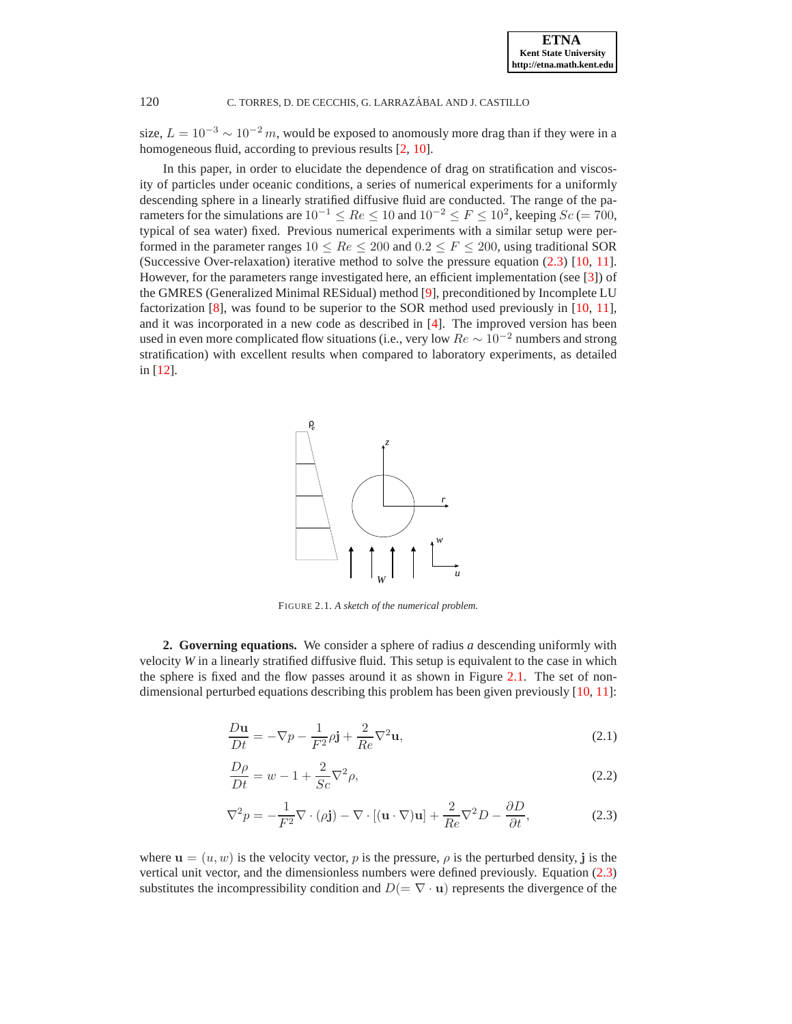### 120 C. TORRES, D. DE CECCHIS, G. LARRAZÁBAL AND J. CASTILLO

size,  $L = 10^{-3} \sim 10^{-2} m$ , would be exposed to anomously more drag than if they were in a homogeneous fluid, according to previous results [\[2,](#page-5-5) [10\]](#page-5-4).

In this paper, in order to elucidate the dependence of drag on stratification and viscosity of particles under oceanic conditions, a series of numerical experiments for a uniformly descending sphere in a linearly stratified diffusive fluid are conducted. The range of the parameters for the simulations are  $10^{-1} \leq Re \leq 10$  and  $10^{-2} \leq F \leq 10^{2}$ , keeping  $Sc = 700$ , typical of sea water) fixed. Previous numerical experiments with a similar setup were performed in the parameter ranges  $10 \leq Re \leq 200$  and  $0.2 \leq F \leq 200$ , using traditional SOR (Successive Over-relaxation) iterative method to solve the pressure equation [\(2.3\)](#page-1-0) [\[10,](#page-5-4) [11](#page-5-6)]. However, for the parameters range investigated here, an efficient implementation (see [\[3\]](#page-5-7)) of the GMRES (Generalized Minimal RESidual) method [\[9\]](#page-5-8), preconditioned by Incomplete LU factorization [\[8\]](#page-5-9), was found to be superior to the SOR method used previously in [\[10,](#page-5-4) [11](#page-5-6)], and it was incorporated in a new code as described in [\[4\]](#page-5-10). The improved version has been used in even more complicated flow situations (i.e., very low  $Re \sim 10^{-2}$  numbers and strong stratification) with excellent results when compared to laboratory experiments, as detailed in [\[12\]](#page-5-11).



<span id="page-1-1"></span>FIGURE 2.1. *A sketch of the numerical problem.*

**2. Governing equations.** We consider a sphere of radius *a* descending uniformly with velocity *W* in a linearly stratified diffusive fluid. This setup is equivalent to the case in which the sphere is fixed and the flow passes around it as shown in Figure [2.1.](#page-1-1) The set of nondimensional perturbed equations describing this problem has been given previously [\[10](#page-5-4), [11\]](#page-5-6):

<span id="page-1-0"></span>
$$
\frac{D\mathbf{u}}{Dt} = -\nabla p - \frac{1}{F^2} \rho \mathbf{j} + \frac{2}{Re} \nabla^2 \mathbf{u},\tag{2.1}
$$

$$
\frac{D\rho}{Dt} = w - 1 + \frac{2}{Sc}\nabla^2 \rho,\tag{2.2}
$$

$$
\nabla^2 p = -\frac{1}{F^2} \nabla \cdot (\rho \mathbf{j}) - \nabla \cdot [(\mathbf{u} \cdot \nabla) \mathbf{u}] + \frac{2}{Re} \nabla^2 D - \frac{\partial D}{\partial t},
$$
(2.3)

where  $\mathbf{u} = (u, w)$  is the velocity vector, p is the pressure,  $\rho$  is the perturbed density, j is the vertical unit vector, and the dimensionless numbers were defined previously. Equation [\(2.3\)](#page-1-0) substitutes the incompressibility condition and  $D(=\nabla \cdot \mathbf{u})$  represents the divergence of the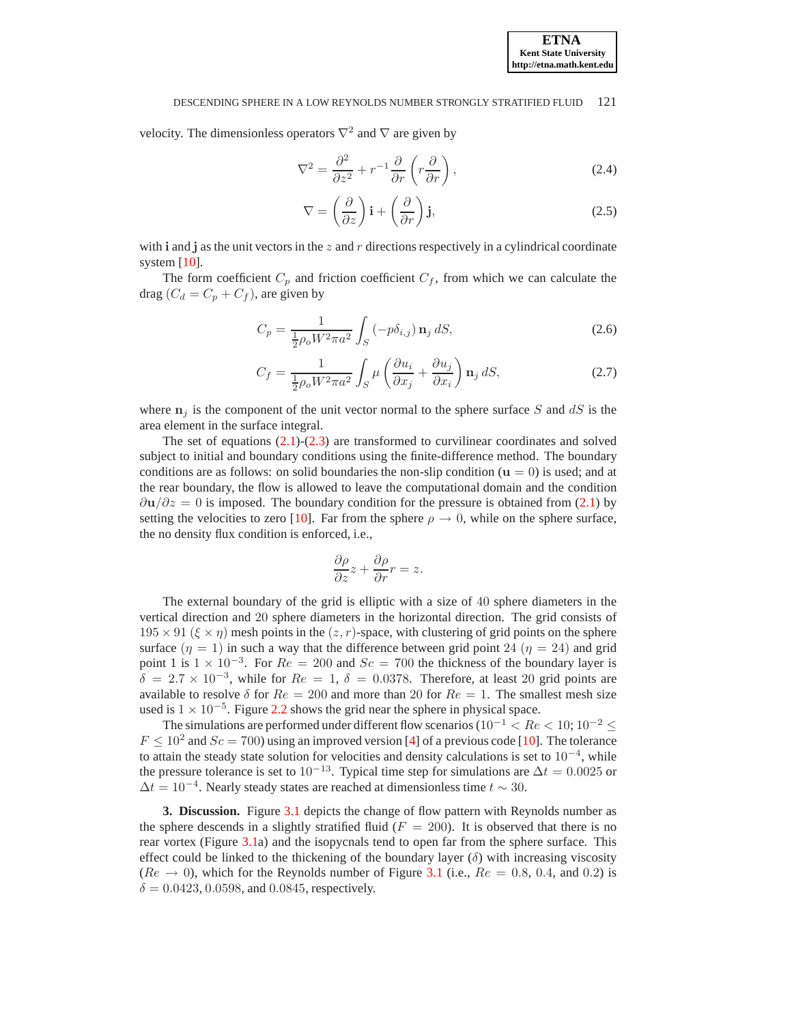#### DESCENDING SPHERE IN A LOW REYNOLDS NUMBER STRONGLY STRATIFIED FLUID 121

velocity. The dimensionless operators  $\nabla^2$  and  $\nabla$  are given by

$$
\nabla^2 = \frac{\partial^2}{\partial z^2} + r^{-1} \frac{\partial}{\partial r} \left( r \frac{\partial}{\partial r} \right),\tag{2.4}
$$

$$
\nabla = \left(\frac{\partial}{\partial z}\right)\mathbf{i} + \left(\frac{\partial}{\partial r}\right)\mathbf{j},\tag{2.5}
$$

with i and j as the unit vectors in the z and r directions respectively in a cylindrical coordinate system [\[10](#page-5-4)].

The form coefficient  $C_p$  and friction coefficient  $C_f$ , from which we can calculate the drag  $(C_d = C_p + C_f)$ , are given by

$$
C_p = \frac{1}{\frac{1}{2}\rho_o W^2 \pi a^2} \int_S (-p\delta_{i,j}) \, \mathbf{n}_j \, dS,
$$
\n(2.6)

$$
C_f = \frac{1}{\frac{1}{2}\rho_o W^2 \pi a^2} \int_S \mu \left(\frac{\partial u_i}{\partial x_j} + \frac{\partial u_j}{\partial x_i}\right) \mathbf{n}_j \, dS,\tag{2.7}
$$

where  $n<sub>j</sub>$  is the component of the unit vector normal to the sphere surface S and dS is the area element in the surface integral.

The set of equations  $(2.1)-(2.3)$  $(2.1)-(2.3)$  are transformed to curvilinear coordinates and solved subject to initial and boundary conditions using the finite-difference method. The boundary conditions are as follows: on solid boundaries the non-slip condition  $(u = 0)$  is used; and at the rear boundary, the flow is allowed to leave the computational domain and the condition  $\partial u/\partial z = 0$  is imposed. The boundary condition for the pressure is obtained from [\(2.1\)](#page-1-0) by setting the velocities to zero [\[10\]](#page-5-4). Far from the sphere  $\rho \to 0$ , while on the sphere surface, the no density flux condition is enforced, i.e.,

$$
\frac{\partial \rho}{\partial z} z + \frac{\partial \rho}{\partial r} r = z.
$$

The external boundary of the grid is elliptic with a size of 40 sphere diameters in the vertical direction and 20 sphere diameters in the horizontal direction. The grid consists of  $195 \times 91$  ( $\xi \times \eta$ ) mesh points in the  $(z, r)$ -space, with clustering of grid points on the sphere surface  $(\eta = 1)$  in such a way that the difference between grid point 24  $(\eta = 24)$  and grid point 1 is  $1 \times 10^{-3}$ . For  $Re = 200$  and  $Sc = 700$  the thickness of the boundary layer is  $\delta = 2.7 \times 10^{-3}$ , while for  $Re = 1$ ,  $\delta = 0.0378$ . Therefore, at least 20 grid points are available to resolve  $\delta$  for  $Re = 200$  and more than 20 for  $Re = 1$ . The smallest mesh size used is  $1 \times 10^{-5}$ . Figure [2.2](#page-3-0) shows the grid near the sphere in physical space.

The simulations are performed under different flow scenarios ( $10^{-1} < Re < 10$ ;  $10^{-2} \le$  $F \le 10^2$  and  $Sc = 700$ ) using an improved version [\[4](#page-5-10)] of a previous code [\[10](#page-5-4)]. The tolerance to attain the steady state solution for velocities and density calculations is set to 10<sup>−</sup><sup>4</sup> , while the pressure tolerance is set to  $10^{-13}$ . Typical time step for simulations are  $\Delta t = 0.0025$  or  $\Delta t = 10^{-4}$ . Nearly steady states are reached at dimensionless time  $t \sim 30$ .

**3. Discussion.** Figure [3.1](#page-3-1) depicts the change of flow pattern with Reynolds number as the sphere descends in a slightly stratified fluid ( $F = 200$ ). It is observed that there is no rear vortex (Figure [3.1a](#page-3-1)) and the isopycnals tend to open far from the sphere surface. This effect could be linked to the thickening of the boundary layer  $(\delta)$  with increasing viscosity  $(Re \rightarrow 0)$ , which for the Reynolds number of Figure [3.1](#page-3-1) (i.e.,  $Re = 0.8, 0.4$ , and 0.2) is  $\delta = 0.0423, 0.0598,$  and 0.0845, respectively.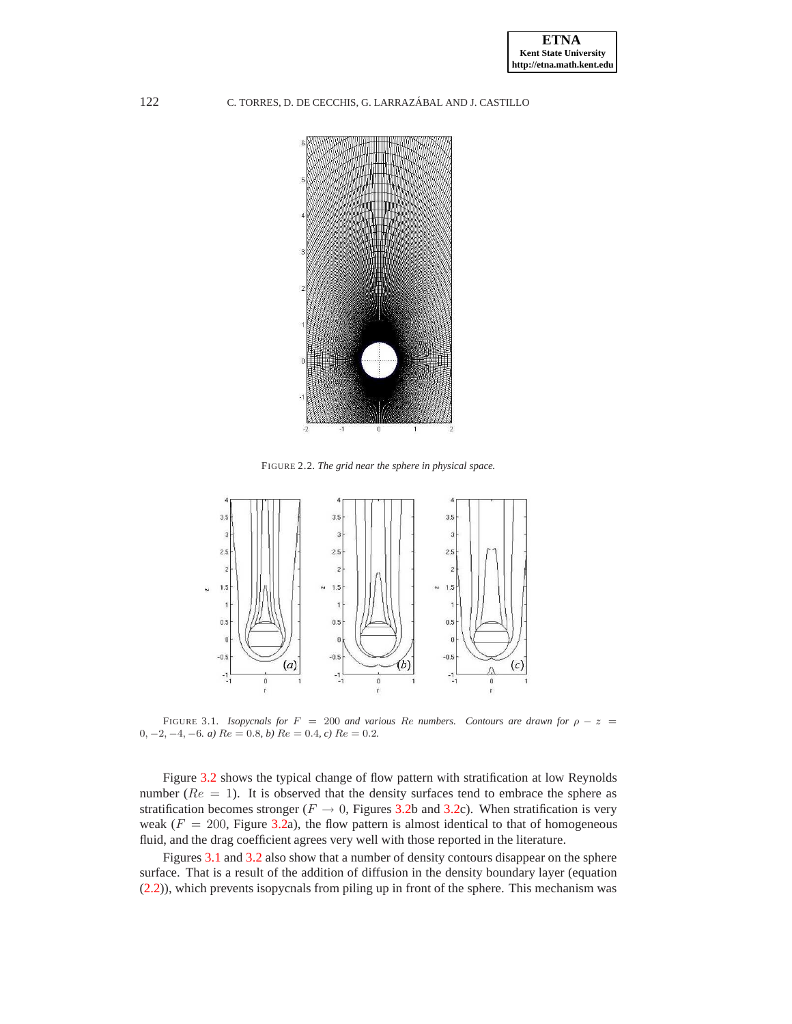## 122 C. TORRES, D. DE CECCHIS, G. LARRAZÁBAL AND J. CASTILLO



<span id="page-3-0"></span>FIGURE 2.2. *The grid near the sphere in physical space.*



<span id="page-3-1"></span>FIGURE 3.1. *Isopycnals for*  $F = 200$  *and various Re numbers. Contours are drawn for*  $\rho - z =$  $0, -2, -4, -6$ *. a)*  $Re = 0.8$ *, b)*  $Re = 0.4$ *, c)*  $Re = 0.2$ *.* 

Figure [3.2](#page-4-0) shows the typical change of flow pattern with stratification at low Reynolds number ( $Re = 1$ ). It is observed that the density surfaces tend to embrace the sphere as stratification becomes stronger ( $F \rightarrow 0$ , Figures [3.2b](#page-4-0) and [3.2c](#page-4-0)). When stratification is very weak ( $F = 200$ , Figure [3.2a](#page-4-0)), the flow pattern is almost identical to that of homogeneous fluid, and the drag coefficient agrees very well with those reported in the literature.

Figures [3.1](#page-3-1) and [3.2](#page-4-0) also show that a number of density contours disappear on the sphere surface. That is a result of the addition of diffusion in the density boundary layer (equation [\(2.2\)](#page-1-0)), which prevents isopycnals from piling up in front of the sphere. This mechanism was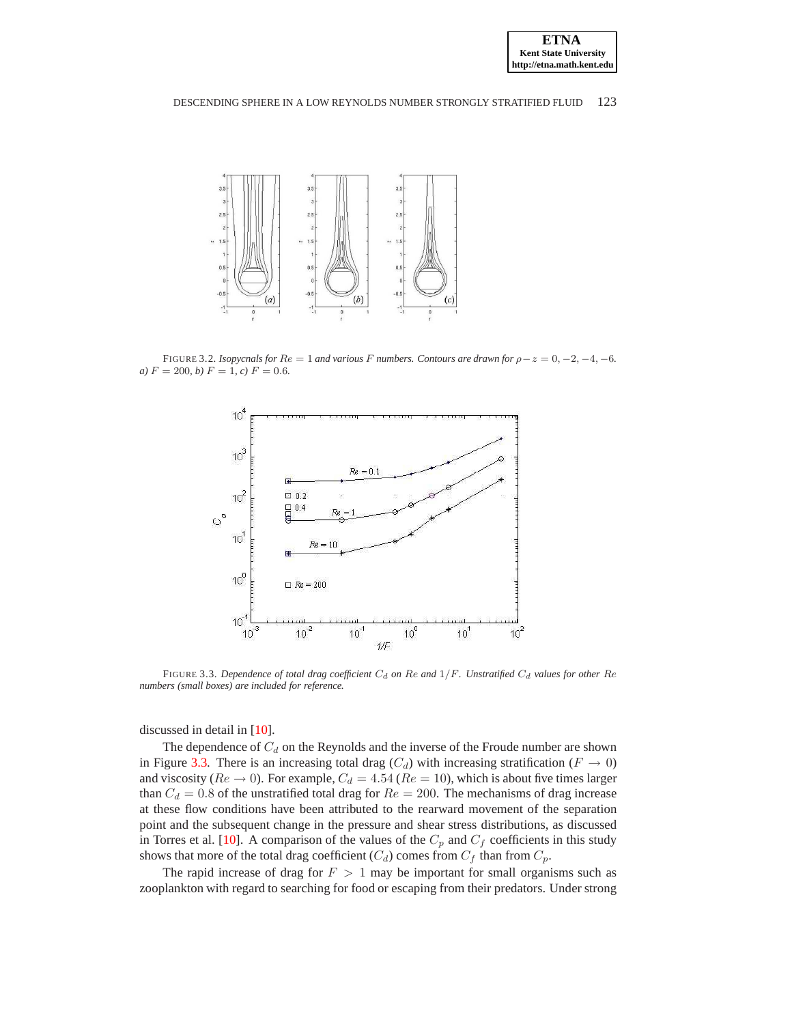

#### DESCENDING SPHERE IN A LOW REYNOLDS NUMBER STRONGLY STRATIFIED FLUID 123



FIGURE 3.2. *Isopycnals for*  $Re = 1$  *and various* F *numbers. Contours are drawn for*  $\rho - z = 0, -2, -4, -6$ *. a*)  $F = 200$ , *b*)  $F = 1$ , *c*)  $F = 0.6$ .

<span id="page-4-0"></span>

<span id="page-4-1"></span>FIGURE 3.3. *Dependence of total drag coefficient*  $C_d$  *on* Re and  $1/F$ *. Unstratified*  $C_d$  *values for other* Re *numbers (small boxes) are included for reference.*

discussed in detail in [\[10\]](#page-5-4).

The dependence of  $C_d$  on the Reynolds and the inverse of the Froude number are shown in Figure [3.3.](#page-4-1) There is an increasing total drag  $(C_d)$  with increasing stratification  $(F \to 0)$ and viscosity ( $Re \rightarrow 0$ ). For example,  $C_d = 4.54$  ( $Re = 10$ ), which is about five times larger than  $C_d = 0.8$  of the unstratified total drag for  $Re = 200$ . The mechanisms of drag increase at these flow conditions have been attributed to the rearward movement of the separation point and the subsequent change in the pressure and shear stress distributions, as discussed in Torres et al. [\[10\]](#page-5-4). A comparison of the values of the  $C_p$  and  $C_f$  coefficients in this study shows that more of the total drag coefficient  $(C_d)$  comes from  $C_f$  than from  $C_p$ .

The rapid increase of drag for  $F > 1$  may be important for small organisms such as zooplankton with regard to searching for food or escaping from their predators. Under strong